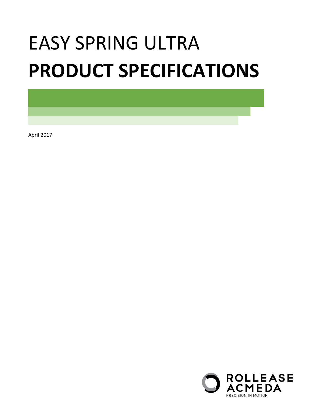# EASY SPRING ULTRA **PRODUCT SPECIFICATIONS**

April 2017

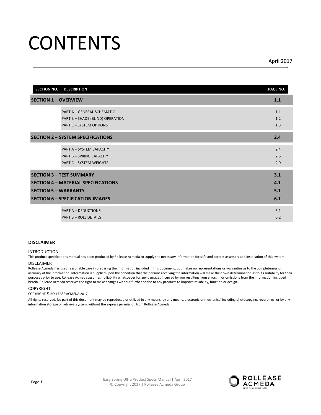## **CONTENTS**

April 2017

| <b>SECTION NO.</b><br><b>DESCRIPTION</b>   | PAGE NO. |
|--------------------------------------------|----------|
| <b>SECTION 1 - OVERVIEW</b>                | 1.1      |
| PART A - GENERAL SCHEMATIC                 | 1.1      |
| PART B - SHADE (BLIND) OPERATION           | 1.2      |
| <b>PART C - SYSTEM OPTIONS</b>             | 1.3      |
| <b>SECTION 2 - SYSTEM SPECIFICATIONS</b>   | 2.4      |
| PART A - SYSTEM CAPACITY                   | 2.4      |
| <b>PART B - SPRING CAPACITY</b>            | 2.5      |
| PART C - SYSTEM WEIGHTS                    | 2.9      |
| <b>SECTION 3 - TEST SUMMARY</b>            | 3.1      |
| <b>SECTION 4 - MATERIAL SPECIFICATIONS</b> | 4.1      |
| <b>SECTION 5 - WARRANTY</b>                | 5.1      |
| <b>SECTION 6 - SPECIFICATION IMAGES</b>    | 6.1      |
| <b>PART A - DEDUCTIONS</b>                 | 6.1      |
| <b>PART B - ROLL DETAILS</b>               | 6.2      |

#### **DISCLAIMER**

#### INTRODUCTION

This product specifications manual has been produced by Rollease Acmeda to supply the necessary information for safe and correct assembly and installation of this system.

#### DISCLAIMER

Rollease Acmeda has used reasonable care in preparing the information included in this document, but makes no representations or warranties as to the completeness or accuracy of the information. Information is supplied upon the condition that the persons receiving the information will make their own determination as to its suitability for their purposes prior to use. Rollease Acmeda assumes no liability whatsoever for any damages incurred by you resulting from errors in or omissions from the information included herein. Rollease Acmeda reserves the right to make changes without further notice to any products to improve reliability, function or design.

#### COPYRIGHT

#### COPYRIGHT © ROLLEASE ACMEDA 2017

All rights reserved. No part of this document may be reproduced or utilized in any means, by any means, electronic or mechanical including photocopying, recordings, or by any information storage or retrieval system, without the express permission from Rollease Acmeda.

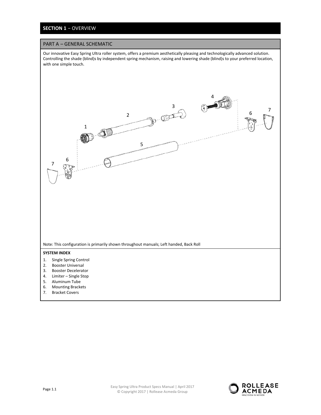## **SECTION 1** − OVERVIEW

#### PART A – GENERAL SCHEMATIC

Our innovative Easy Spring Ultra roller system, offers a premium aesthetically pleasing and technologically advanced solution. Controlling the shade (blind)s by independent spring mechanism, raising and lowering shade (blind)s to your preferred location, with one simple touch.





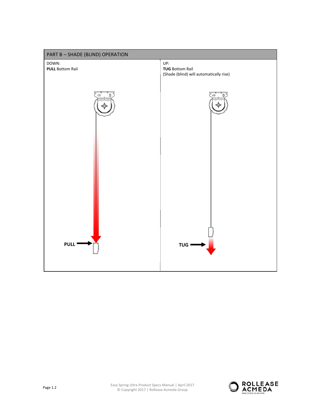

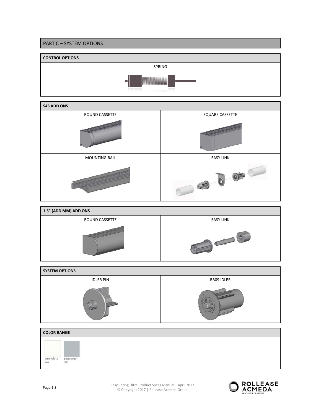



| 1.5" (ADD MM) ADD ONS |                  |
|-----------------------|------------------|
| <b>ROUND CASSETTE</b> | <b>EASY LINK</b> |
|                       |                  |

| <b>SYSTEM OPTIONS</b> |            |
|-----------------------|------------|
| <b>IDLER PIN</b>      | RB09 IDLER |
|                       |            |



Easy Spring Ultra Product Specs Manual | April 2017<br>
Convention 2017 | Delleges Acrossis Convention © Copyright 2017 | Rollease Acmeda Group

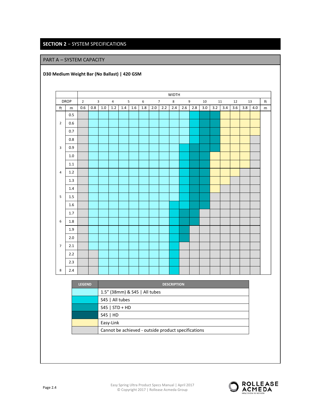## **SECTION 2** − SYSTEM SPECIFICATIONS

## PART A – SYSTEM CAPACITY

**D30 Medium Weight Bar (No Ballast) | 420 GSM** 

|                         |             |                |     |                         |                |         |     |         |         |                 | <b>WIDTH</b> |     |     |     |     |     |     |     |     |           |
|-------------------------|-------------|----------------|-----|-------------------------|----------------|---------|-----|---------|---------|-----------------|--------------|-----|-----|-----|-----|-----|-----|-----|-----|-----------|
|                         | <b>DROP</b> | $\overline{2}$ |     | $\overline{\mathbf{3}}$ | $\overline{4}$ |         | 5   | 6       |         | $7\overline{ }$ | 8            |     | 9   | 10  |     | 11  | 12  |     | 13  | ft        |
| $\operatorname{\sf ft}$ | ${\sf m}$   | 0.6            | 0.8 | $1.0\,$                 | 1.2            | $1.4\,$ | 1.6 | $1.8\,$ | $2.0\,$ | 2.2             | 2.4          | 2.6 | 2.8 | 3.0 | 3.2 | 3.4 | 3.6 | 3.8 | 4.0 | ${\sf m}$ |
|                         | 0.5         |                |     |                         |                |         |     |         |         |                 |              |     |     |     |     |     |     |     |     |           |
| $\overline{2}$          | 0.6         |                |     |                         |                |         |     |         |         |                 |              |     |     |     |     |     |     |     |     |           |
|                         | 0.7         |                |     |                         |                |         |     |         |         |                 |              |     |     |     |     |     |     |     |     |           |
|                         | $0.8\,$     |                |     |                         |                |         |     |         |         |                 |              |     |     |     |     |     |     |     |     |           |
| $\overline{3}$          | 0.9         |                |     |                         |                |         |     |         |         |                 |              |     |     |     |     |     |     |     |     |           |
|                         | $1.0\,$     |                |     |                         |                |         |     |         |         |                 |              |     |     |     |     |     |     |     |     |           |
|                         | 1.1         |                |     |                         |                |         |     |         |         |                 |              |     |     |     |     |     |     |     |     |           |
| $\overline{4}$          | 1.2         |                |     |                         |                |         |     |         |         |                 |              |     |     |     |     |     |     |     |     |           |
|                         | $1.3\,$     |                |     |                         |                |         |     |         |         |                 |              |     |     |     |     |     |     |     |     |           |
|                         | 1.4         |                |     |                         |                |         |     |         |         |                 |              |     |     |     |     |     |     |     |     |           |
| 5                       | $1.5\,$     |                |     |                         |                |         |     |         |         |                 |              |     |     |     |     |     |     |     |     |           |
|                         | 1.6         |                |     |                         |                |         |     |         |         |                 |              |     |     |     |     |     |     |     |     |           |
|                         | 1.7         |                |     |                         |                |         |     |         |         |                 |              |     |     |     |     |     |     |     |     |           |
| 6                       | $1.8\,$     |                |     |                         |                |         |     |         |         |                 |              |     |     |     |     |     |     |     |     |           |
|                         | $1.9\,$     |                |     |                         |                |         |     |         |         |                 |              |     |     |     |     |     |     |     |     |           |
|                         | 2.0         |                |     |                         |                |         |     |         |         |                 |              |     |     |     |     |     |     |     |     |           |
| $\overline{7}$          | $2.1\,$     |                |     |                         |                |         |     |         |         |                 |              |     |     |     |     |     |     |     |     |           |
|                         | 2.2         |                |     |                         |                |         |     |         |         |                 |              |     |     |     |     |     |     |     |     |           |
|                         | 2.3         |                |     |                         |                |         |     |         |         |                 |              |     |     |     |     |     |     |     |     |           |
| 8                       | $2.4\,$     |                |     |                         |                |         |     |         |         |                 |              |     |     |     |     |     |     |     |     |           |

| <b>LEGEND</b> | <b>DESCRIPTION</b>                                  |
|---------------|-----------------------------------------------------|
|               | 1.5" (38mm) & S45   All tubes                       |
|               | S45   All tubes                                     |
|               | $S45$   STD + HD                                    |
|               | $S45$   HD                                          |
|               | Easy-Link                                           |
|               | Cannot be achieved - outside product specifications |

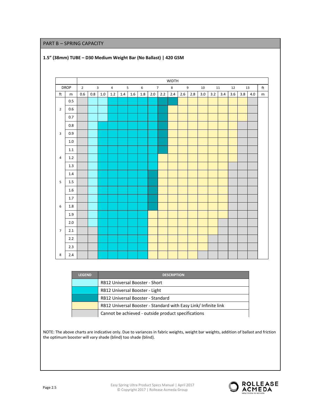#### PART B – SPRING CAPACITY



### **1.5" (38mm) TUBE – D30 Medium Weight Bar (No Ballast) | 420 GSM**

| <b>LEGEND</b> | <b>DESCRIPTION</b>                                              |
|---------------|-----------------------------------------------------------------|
|               | <b>RB12 Universal Booster - Short</b>                           |
|               | RB12 Universal Booster - Light                                  |
|               | RB12 Universal Booster - Standard                               |
|               | RB12 Universal Booster - Standard with Easy Link/ Infinite link |
|               | Cannot be achieved - outside product specifications             |

NOTE: The above charts are indicative only. Due to variances in fabric weights, weight bar weights, addition of ballast and friction the optimum booster will vary shade (blind) too shade (blind).

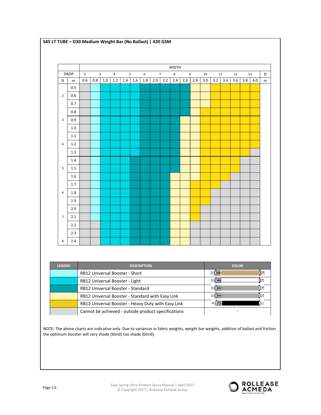|                |             |                |     |                |                |     |     |         |     |                 | <b>WIDTH</b> |     |     |     |     |     |     |     |     |           |
|----------------|-------------|----------------|-----|----------------|----------------|-----|-----|---------|-----|-----------------|--------------|-----|-----|-----|-----|-----|-----|-----|-----|-----------|
|                | <b>DROP</b> | $\overline{2}$ |     | $\overline{3}$ | $\overline{4}$ |     | 5   | 6       |     | $7\overline{ }$ | $\bf 8$      |     | 9   | 10  |     | 11  | 12  |     | 13  | ft        |
| ft             | ${\sf m}$   | 0.6            | 0.8 | $1.0$          | $1.2\,$        | 1.4 | 1.6 | $1.8\,$ | 2.0 | 2.2             | 2.4          | 2.6 | 2.8 | 3.0 | 3.2 | 3.4 | 3.6 | 3.8 | 4.0 | ${\sf m}$ |
|                | 0.5         |                |     |                |                |     |     |         |     |                 |              |     |     |     |     |     |     |     |     |           |
| $\overline{2}$ | 0.6         |                |     |                |                |     |     |         |     |                 |              |     |     |     |     |     |     |     |     |           |
|                | 0.7         |                |     |                |                |     |     |         |     |                 |              |     |     |     |     |     |     |     |     |           |
|                | 0.8         |                |     |                |                |     |     |         |     |                 |              |     |     |     |     |     |     |     |     |           |
| $\mathbf{3}$   | 0.9         |                |     |                |                |     |     |         |     |                 |              |     |     |     |     |     |     |     |     |           |
|                | 1.0         |                |     |                |                |     |     |         |     |                 |              |     |     |     |     |     |     |     |     |           |
|                | $1.1\,$     |                |     |                |                |     |     |         |     |                 |              |     |     |     |     |     |     |     |     |           |
| $\overline{4}$ | 1.2         |                |     |                |                |     |     |         |     |                 |              |     |     |     |     |     |     |     |     |           |
|                | 1.3         |                |     |                |                |     |     |         |     |                 |              |     |     |     |     |     |     |     |     |           |
|                | 1.4         |                |     |                |                |     |     |         |     |                 |              |     |     |     |     |     |     |     |     |           |
| 5              | 1.5         |                |     |                |                |     |     |         |     |                 |              |     |     |     |     |     |     |     |     |           |
|                | 1.6         |                |     |                |                |     |     |         |     |                 |              |     |     |     |     |     |     |     |     |           |
|                | 1.7         |                |     |                |                |     |     |         |     |                 |              |     |     |     |     |     |     |     |     |           |
| 6              | 1.8         |                |     |                |                |     |     |         |     |                 |              |     |     |     |     |     |     |     |     |           |
|                | 1.9         |                |     |                |                |     |     |         |     |                 |              |     |     |     |     |     |     |     |     |           |
|                | 2.0         |                |     |                |                |     |     |         |     |                 |              |     |     |     |     |     |     |     |     |           |
| $\overline{7}$ | 2.1         |                |     |                |                |     |     |         |     |                 |              |     |     |     |     |     |     |     |     |           |
|                | 2.2         |                |     |                |                |     |     |         |     |                 |              |     |     |     |     |     |     |     |     |           |
|                | 2.3         |                |     |                |                |     |     |         |     |                 |              |     |     |     |     |     |     |     |     |           |
| $\,$ 8 $\,$    | 2.4         |                |     |                |                |     |     |         |     |                 |              |     |     |     |     |     |     |     |     |           |

**S45 LT TUBE – D30 Medium Weight Bar (No Ballast) | 420 GSM**

| <b>LEGEND</b> | <b>DESCRIPTION</b>                                  | <b>COLOR</b>          |
|---------------|-----------------------------------------------------|-----------------------|
|               | <b>RB12 Universal Booster - Short</b>               | ≍⊔ <del>⊪⊪</del><br>ĸ |
|               | RB12 Universal Booster - Light                      |                       |
|               | <b>RB12 Universal Booster - Standard</b>            | ⊵∐₩₩<br>⊪             |
|               | RB12 Universal Booster - Standard with Easy Link    | >D₩₩<br>⊪             |
|               | RB12 Universal Booster - Heavy Duty with Easy Link  |                       |
|               | Cannot be achieved - outside product specifications |                       |

NOTE: The above charts are indicative only. Due to variances in fabric weights, weight bar weights, addition of ballast and friction the optimum booster will vary shade (blind) too shade (blind).

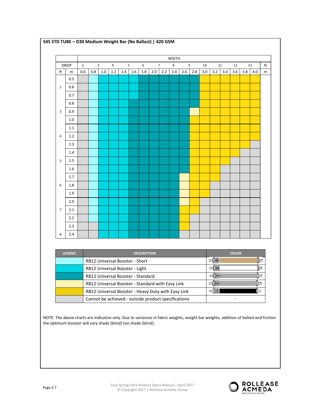|                |                                                                                                                                                                                                        |                |                                                                                       |     |     |     |     |                    |     |                | <b>WIDTH</b> |     |     |     |              |     |              |     |     |    |
|----------------|--------------------------------------------------------------------------------------------------------------------------------------------------------------------------------------------------------|----------------|---------------------------------------------------------------------------------------|-----|-----|-----|-----|--------------------|-----|----------------|--------------|-----|-----|-----|--------------|-----|--------------|-----|-----|----|
|                | <b>DROP</b>                                                                                                                                                                                            | $\overline{2}$ |                                                                                       | 3   | 4   |     | 5   | 6                  |     | $\overline{7}$ | 8            |     | 9   | 10  |              | 11  | 12           |     | 13  | ft |
| ft             | m                                                                                                                                                                                                      | 0.6            | 0.8                                                                                   | 1.0 | 1.2 | 1.4 | 1.6 | 1.8                | 2.0 | 2.2            | 2.4          | 2.6 | 2.8 | 3.0 | 3.2          | 3.4 | 3.6          | 3.8 | 4.0 | m  |
|                | 0.5                                                                                                                                                                                                    |                |                                                                                       |     |     |     |     |                    |     |                |              |     |     |     |              |     |              |     |     |    |
| $\overline{2}$ | 0.6                                                                                                                                                                                                    |                |                                                                                       |     |     |     |     |                    |     |                |              |     |     |     |              |     |              |     |     |    |
|                | 0.7                                                                                                                                                                                                    |                |                                                                                       |     |     |     |     |                    |     |                |              |     |     |     |              |     |              |     |     |    |
|                | 0.8                                                                                                                                                                                                    |                |                                                                                       |     |     |     |     |                    |     |                |              |     |     |     |              |     |              |     |     |    |
| 3              | 0.9                                                                                                                                                                                                    |                |                                                                                       |     |     |     |     |                    |     |                |              |     |     |     |              |     |              |     |     |    |
|                | 1.0                                                                                                                                                                                                    |                |                                                                                       |     |     |     |     |                    |     |                |              |     |     |     |              |     |              |     |     |    |
|                | 1.1                                                                                                                                                                                                    |                |                                                                                       |     |     |     |     |                    |     |                |              |     |     |     |              |     |              |     |     |    |
| 4              | 1.2                                                                                                                                                                                                    |                |                                                                                       |     |     |     |     |                    |     |                |              |     |     |     |              |     |              |     |     |    |
|                | 1.3                                                                                                                                                                                                    |                |                                                                                       |     |     |     |     |                    |     |                |              |     |     |     |              |     |              |     |     |    |
|                | 1.4                                                                                                                                                                                                    |                |                                                                                       |     |     |     |     |                    |     |                |              |     |     |     |              |     |              |     |     |    |
| 5              | 1.5                                                                                                                                                                                                    |                |                                                                                       |     |     |     |     |                    |     |                |              |     |     |     |              |     |              |     |     |    |
|                | 1.6                                                                                                                                                                                                    |                |                                                                                       |     |     |     |     |                    |     |                |              |     |     |     |              |     |              |     |     |    |
|                | 1.7                                                                                                                                                                                                    |                |                                                                                       |     |     |     |     |                    |     |                |              |     |     |     |              |     |              |     |     |    |
| 6              | 1.8                                                                                                                                                                                                    |                |                                                                                       |     |     |     |     |                    |     |                |              |     |     |     |              |     |              |     |     |    |
|                | 1.9                                                                                                                                                                                                    |                |                                                                                       |     |     |     |     |                    |     |                |              |     |     |     |              |     |              |     |     |    |
|                | 2.0                                                                                                                                                                                                    |                |                                                                                       |     |     |     |     |                    |     |                |              |     |     |     |              |     |              |     |     |    |
| $\overline{7}$ | 2.1                                                                                                                                                                                                    |                |                                                                                       |     |     |     |     |                    |     |                |              |     |     |     |              |     |              |     |     |    |
|                | 2.2                                                                                                                                                                                                    |                |                                                                                       |     |     |     |     |                    |     |                |              |     |     |     |              |     |              |     |     |    |
|                | 2.3                                                                                                                                                                                                    |                |                                                                                       |     |     |     |     |                    |     |                |              |     |     |     |              |     |              |     |     |    |
| 8              | 2.4                                                                                                                                                                                                    |                |                                                                                       |     |     |     |     |                    |     |                |              |     |     |     |              |     |              |     |     |    |
|                |                                                                                                                                                                                                        |                |                                                                                       |     |     |     |     |                    |     |                |              |     |     |     |              |     |              |     |     |    |
|                |                                                                                                                                                                                                        |                |                                                                                       |     |     |     |     |                    |     |                |              |     |     |     |              |     |              |     |     |    |
|                | <b>LEGEND</b>                                                                                                                                                                                          |                |                                                                                       |     |     |     |     | <b>DESCRIPTION</b> |     |                |              |     |     |     | <b>Edwar</b> |     | <b>COLOR</b> |     | Įa  |    |
|                |                                                                                                                                                                                                        |                | RB12 Universal Booster - Short                                                        |     |     |     |     |                    |     |                |              |     |     |     | >[₩          |     |              |     | įЮ  |    |
|                |                                                                                                                                                                                                        |                | RB12 Universal Booster - Light                                                        |     |     |     |     |                    |     |                |              |     |     |     | P.           |     |              |     | İa  |    |
|                |                                                                                                                                                                                                        |                | RB12 Universal Booster - Standard<br>RB12 Universal Booster - Standard with Easy Link |     |     |     |     |                    |     |                |              |     |     |     | <b>¤∭</b>    |     |              |     | ⊺≍  |    |
|                |                                                                                                                                                                                                        |                | RB12 Universal Booster - Heavy Duty with Easy Link                                    |     |     |     |     |                    |     |                |              |     |     |     | $\geq$ (HH)  |     |              |     |     |    |
|                |                                                                                                                                                                                                        |                | Cannot be achieved - outside product specifications                                   |     |     |     |     |                    |     |                |              |     |     |     |              |     |              |     |     |    |
|                |                                                                                                                                                                                                        |                |                                                                                       |     |     |     |     |                    |     |                |              |     |     |     |              |     |              |     |     |    |
|                |                                                                                                                                                                                                        |                |                                                                                       |     |     |     |     |                    |     |                |              |     |     |     |              |     |              |     |     |    |
|                | NOTE: The above charts are indicative only. Due to variances in fabric weights, weight bar weights, addition of ballast and friction<br>the optimum booster will vary shade (blind) too shade (blind). |                |                                                                                       |     |     |     |     |                    |     |                |              |     |     |     |              |     |              |     |     |    |
|                |                                                                                                                                                                                                        |                |                                                                                       |     |     |     |     |                    |     |                |              |     |     |     |              |     |              |     |     |    |
|                |                                                                                                                                                                                                        |                |                                                                                       |     |     |     |     |                    |     |                |              |     |     |     |              |     |              |     |     |    |

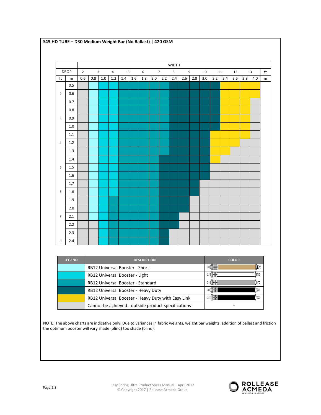|                         |             |                |     |                |                |     |     |         |     |                | <b>WIDTH</b> |     |     |     |     |     |     |     |         |                         |
|-------------------------|-------------|----------------|-----|----------------|----------------|-----|-----|---------|-----|----------------|--------------|-----|-----|-----|-----|-----|-----|-----|---------|-------------------------|
|                         | <b>DROP</b> | $\overline{2}$ |     | $\overline{3}$ | $\overline{4}$ |     | 5   | 6       |     | $\overline{7}$ | 8            |     | 9   | 10  |     | 11  | 12  |     | 13      | $\operatorname{\sf ft}$ |
| ft                      | m           | 0.6            | 0.8 | $1.0\,$        | $1.2\,$        | 1.4 | 1.6 | $1.8\,$ | 2.0 | 2.2            | 2.4          | 2.6 | 2.8 | 3.0 | 3.2 | 3.4 | 3.6 | 3.8 | $4.0\,$ | m                       |
|                         | 0.5         |                |     |                |                |     |     |         |     |                |              |     |     |     |     |     |     |     |         |                         |
| $\overline{2}$          | 0.6         |                |     |                |                |     |     |         |     |                |              |     |     |     |     |     |     |     |         |                         |
|                         | 0.7         |                |     |                |                |     |     |         |     |                |              |     |     |     |     |     |     |     |         |                         |
|                         | 0.8         |                |     |                |                |     |     |         |     |                |              |     |     |     |     |     |     |     |         |                         |
| $\overline{\mathbf{3}}$ | 0.9         |                |     |                |                |     |     |         |     |                |              |     |     |     |     |     |     |     |         |                         |
|                         | $1.0\,$     |                |     |                |                |     |     |         |     |                |              |     |     |     |     |     |     |     |         |                         |
|                         | 1.1         |                |     |                |                |     |     |         |     |                |              |     |     |     |     |     |     |     |         |                         |
| $\overline{4}$          | 1.2         |                |     |                |                |     |     |         |     |                |              |     |     |     |     |     |     |     |         |                         |
|                         | 1.3         |                |     |                |                |     |     |         |     |                |              |     |     |     |     |     |     |     |         |                         |
|                         | 1.4         |                |     |                |                |     |     |         |     |                |              |     |     |     |     |     |     |     |         |                         |
| 5                       | 1.5         |                |     |                |                |     |     |         |     |                |              |     |     |     |     |     |     |     |         |                         |
|                         | 1.6         |                |     |                |                |     |     |         |     |                |              |     |     |     |     |     |     |     |         |                         |
|                         | 1.7         |                |     |                |                |     |     |         |     |                |              |     |     |     |     |     |     |     |         |                         |
| 6                       | 1.8         |                |     |                |                |     |     |         |     |                |              |     |     |     |     |     |     |     |         |                         |
|                         | 1.9         |                |     |                |                |     |     |         |     |                |              |     |     |     |     |     |     |     |         |                         |
|                         | 2.0         |                |     |                |                |     |     |         |     |                |              |     |     |     |     |     |     |     |         |                         |
| $\overline{7}$          | 2.1         |                |     |                |                |     |     |         |     |                |              |     |     |     |     |     |     |     |         |                         |
|                         | 2.2         |                |     |                |                |     |     |         |     |                |              |     |     |     |     |     |     |     |         |                         |
|                         | 2.3         |                |     |                |                |     |     |         |     |                |              |     |     |     |     |     |     |     |         |                         |

**S45 HD TUBE – D30 Medium Weight Bar (No Ballast) | 420 GSM** 

| <b>LEGEND</b> | <b>DESCRIPTION</b>                                  | <b>COLOR</b> |
|---------------|-----------------------------------------------------|--------------|
|               | <b>RB12 Universal Booster - Short</b>               | Œ<br>⊵∐₩₩    |
|               | RB12 Universal Booster - Light                      | le<br>ы      |
|               | RB12 Universal Booster - Standard                   | PI₩<br>œ     |
|               | RB12 Universal Booster - Heavy Duty                 | >1<br>11e    |
|               | RB12 Universal Booster - Heavy Duty with Easy Link  | STILL        |
|               | Cannot be achieved - outside product specifications |              |

NOTE: The above charts are indicative only. Due to variances in fabric weights, weight bar weights, addition of ballast and friction the optimum booster will vary shade (blind) too shade (blind).

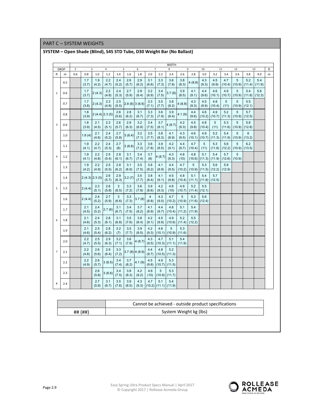PART C – SYSTEM WEIGHTS

| <b>DROP</b>             |         | $\mathbf 2$ |                   | 3                 | $\overline{4}$                                                                |                       | 5            | 6            | $\overline{7}$          |                          | 8             |                        | 9                        | 10            | 11            |               | 12                   |               | 13            | ft |
|-------------------------|---------|-------------|-------------------|-------------------|-------------------------------------------------------------------------------|-----------------------|--------------|--------------|-------------------------|--------------------------|---------------|------------------------|--------------------------|---------------|---------------|---------------|----------------------|---------------|---------------|----|
| ft                      | m       | 0.6         | 0.8               | $1.0$             | 1.2                                                                           | 1.4                   | 1.6          | 1.8          | 2.0                     | 2.2                      | 2.4           | 2.6                    | 2.8                      | 3.0           | 3.2           | 3.4           | 3.6                  | 3.8           | 4.0           | m  |
|                         | 0.5     |             | 1.7<br>(3.7)      | 1.9<br>(4.2)      | 2.2<br>(4.7)                                                                  | 2.4<br>(5.2)          | 2.6<br>(5.7) | 2.9<br>(6.2) | 3.1<br>(6.8)            | 3.3<br>(7.3)             | 3.6<br>(7.8)  | 3.8<br>(8.3)           | 4(8.8)                   | 4.3<br>(9.3)  | 4.5<br>(9.9)  | 4.7<br>(10.4) | $\sqrt{5}$<br>(10.9) | 5.2<br>(11.4) | 5.4<br>(11.9) |    |
| $\overline{2}$          | 0.6     |             | 1.7<br>(3.7)      | 2(4.3)            | 2.2<br>(4.8)                                                                  | 2.4<br>(5.3)          | 2.7<br>(5.9) | 2.9<br>(6.4) | 3.2<br>(6.9)            | 3.4<br>(7.5)             | 3.7(8)        | 3.9<br>(8.5)           | 4.1<br>(9.1)             | 4.4<br>(9.6)  | 4.6<br>(10.1) | 4.9<br>(10.7) | 5<br>(10.9)          | 5.4<br>(11.8) | 5.6<br>(12.3) |    |
|                         | 0.7     |             | 1.7<br>(3.8)      | 2(4.3)            | 2.3<br>(4.9)                                                                  | 2.5<br>(5.5)          | 2.8(6)3(6.6) |              | 3.3<br>(7.1)            | 3.5<br>(7.7)             | 3.8<br>(8.2)  | 4(8.8)                 | 4.3<br>(9.3)             | 4.5<br>(9.9)  | 4.8<br>(10.4) | 5<br>(11)     | 5<br>(10.9)          | 5.5<br>(12.1) |               |    |
|                         | 0.8     |             | 1.8<br>(3.9)      | $2(4.4)$ $2.3(5)$ |                                                                               | 2.6<br>(5.6)          | 2.8<br>(6.2) | 3.1<br>(6.7) | 3.3<br>(7.3)            | 3.6<br>(7.9)             | 3.9<br>(8.4)  | 4.1(9)                 | 4.4<br>(9.6)             | 4.6<br>(10.2) | 4.9<br>(10.7) | 5.2<br>(11.3) | 5<br>(10.9)          | 5.7<br>(12.5) |               |    |
| $\overline{\mathbf{3}}$ | 0.9     |             | 1.8<br>(3.9)      | 2.1<br>(4.5)      | 2.3<br>(5.1)                                                                  | 2.6<br>(5.7)          | 2.9<br>(6.3) | 3.2<br>(6.9) | 3.4<br>(7.5)            | 3.7<br>(8.1)             | 4(8.7)        | 4.2<br>(9.3)           | 4.5<br>(9.8)             | 4.8<br>(10.4) | 5<br>(11)     | 5.3<br>(11.6) | 5<br>(10.9)          | 5.8<br>(12.8) |               |    |
|                         | 1.0     |             | 1.8(4)            | 2.1<br>(4.6)      | 2.4<br>(5.2)                                                                  | 2.7<br>(5.8)          | 3(6.4)       | 3.2<br>(7.1) | 3.5<br>(7.7)            | 3.8<br>(8.3)             | 4.1<br>(8.9)  | 4.3<br>(9.5)           | 4.6<br>(10.1)            | 4.9<br>(10.7) | 5.2<br>(11.3) | 5.4<br>(11.9) | 5<br>(10.9)          | 6<br>(13.2)   |               |    |
|                         | 1.1     |             | 1.9<br>(4.1)      | 2.2<br>(4.7)      | 2.4<br>(5.3)                                                                  | 2.7<br>(6)            | 3(6.6)       | 3.3<br>(7.2) | 3.6<br>(7.8)            | 3.9<br>(8.5)             | 4.2<br>(9.1)  | 4.4<br>(9.7)           | 4.7<br>(10.4)            | 5<br>(11)     | 5.3<br>(11.6) | 5.6<br>(12.2) | 5<br>(10.9)          | 6.2<br>(13.5) |               |    |
| $\overline{a}$          | $1.2\,$ |             | 1.9<br>(4.1)      | 2.2<br>(4.8)      | 2.5<br>(5.4)                                                                  | 2.8<br>(6.1)          | 3.1<br>(6.7) | 3.4<br>(7.4) | 3.7<br>(8)              | 4(8.7)                   | 4.3<br>(9.3)  | 4.6<br>(10)            | 4.8<br>(10.6)            | 5.1<br>(11.3) | 5.4<br>(11.9) | 5.7<br>(12.6) | 5<br>(10.9)          |               |               |    |
|                         | 1.3     |             | 1.9<br>(4.2)      | 2.2<br>(4.9)      | 2.5<br>(5.5)                                                                  | 2.8<br>(6.2)          | 3.1<br>(6.9) | 3.5<br>(7.5) | 3.8<br>(8.2)            | 4.1<br>(8.9)             | 4.4<br>(9.5)  | 4.7<br>(10.2)          | $\overline{5}$<br>(10.9) | 5.3<br>(11.5) | 5.6<br>(12.2) | 5.9<br>(12.9) |                      |               |               |    |
|                         | 1.4     |             | $2(4.3)$ $2.3(5)$ |                   | 2.6<br>(5.7)                                                                  | 2.9<br>(6.3)          | 3.2(7)       | 3.5<br>(7.7) | 3.8<br>(8.4)            | 4.1<br>(9.1)             | 4.5<br>(9.8)  | 4.8<br>(10.4)          | 5.1<br>(11.1)            | 5.4<br>(11.8) | 5.7<br>(12.5) |               |                      |               |               |    |
| 5                       | 1.5     |             | 2(4.4)            | 2.3<br>(5.1)      | 2.6<br>(5.8)                                                                  | $\mathbf{3}$<br>(6.5) | 3.3<br>(7.2) | 3.6<br>(7.9) | 3.9<br>(8.6)            | 4.2<br>(9.3)             | 4.6<br>(10)   | 4.9<br>(10.7)          | 5.2<br>(11.4)            | 5.5<br>(12.1) |               |               |                      |               |               |    |
|                         | 1.6     |             | 2(4.4)            | 2.4<br>(5.2)      | 2.7<br>(5.9)                                                                  | 3<br>(6.6)            | 3.3<br>(7.3) | 3.7(8)       | $\overline{4}$<br>(8.8) | 4.3<br>(9.5)             | 4.7           | 5<br>$(10.2)$ $(10.9)$ | 5.3<br>(11.6)            | 5.6<br>(12.4) |               |               |                      |               |               |    |
|                         | 1.7     |             | 2.1<br>(4.5)      | 2.4<br>(5.2)      | 2.7(6)                                                                        | 3.1<br>(6.7)          | 3.4<br>(7.5) | 3.7<br>(8.2) | 4.1<br>(8.9)            | 4.4<br>(9.7)             | 4.8<br>(10.4) | 5.1<br>(11.2)          | 5.4<br>(11.9)            |               |               |               |                      |               |               |    |
| 6                       | 1.8     |             | 2.1<br>(4.6)      | 2.4<br>(5.3)      | 2.8<br>(6.1)                                                                  | 3.1<br>(6.8)          | 3.5<br>(7.6) | 3.8<br>(8.4) | 4.2<br>(9.1)            | 4.5<br>(9.9)             | 4.9<br>(10.6) | 5.2<br>(11.4)          | 5.5<br>(12.2)            |               |               |               |                      |               |               |    |
|                         | 1.9     |             | 2.1<br>(4.6)      | 2.5<br>(5.4)      | 2.8<br>(6.2)                                                                  | 3.2<br>(7)            | 3.5<br>(7.7) | 3.9<br>(8.5) | 4.2<br>(9.3)            | 4.6<br>(10.1)            | 5<br>(10.9)   | 5.3<br>(11.6)          |                          |               |               |               |                      |               |               |    |
|                         | 2.0     |             | 2.2<br>(4.7)      | 2.5<br>(5.5)      | 2.9<br>(6.3)                                                                  | 3.2<br>(7.1)          | 3.6<br>(7.9) | 4(8.7)       | 4.3<br>(9.5)            | 4.7<br>(10.3)            | 5.1<br>(11.1) | 5.4<br>(11.9)          |                          |               |               |               |                      |               |               |    |
| $\overline{7}$          | 2.1     |             | 2.2<br>(4.8)      | 2.6<br>(5.6)      | 2.9<br>(6.4)                                                                  | 3.3<br>(7.2)          | 3.7(8)4(8.9) |              | 4.4<br>(9.7)            | 4.8<br>(10.5)            | 5.2<br>(11.3) |                        |                          |               |               |               |                      |               |               |    |
|                         | 2.2     |             | 2.2<br>(4.9)      | 2.6<br>(5.7)      | 3(6.5)                                                                        | 3.4<br>(7.4)          | 3.7<br>(8.2) | 4.1(9)       | 4.5<br>(9.8)            | 4.9<br>(10.7)            | 5.3<br>(11.5) |                        |                          |               |               |               |                      |               |               |    |
|                         | 2.3     |             |                   | 2.6<br>(5.8)      | 3(6.6)                                                                        | 3.4<br>(7.5)          | 3.8<br>(8.3) | 4.2<br>(9.2) | 4.6<br>(10)             | 5<br>(10.9)              | 5.3<br>(11.7) |                        |                          |               |               |               |                      |               |               |    |
| 8                       | 2.4     |             |                   | 2.7<br>(5.9)      | 3.1<br>(6.7)                                                                  | 3.5<br>(7.6)          | 3.9<br>(8.5) | 4.3<br>(9.3) | 4.7<br>(10.2)           | 5.1<br>$(11.1)$ $(11.9)$ | 5.4           |                        |                          |               |               |               |                      |               |               |    |
|                         |         |             |                   |                   |                                                                               |                       |              |              |                         |                          |               |                        |                          |               |               |               |                      |               |               |    |
|                         |         |             |                   |                   |                                                                               |                       |              |              |                         |                          |               |                        |                          |               |               |               |                      |               |               |    |
|                         |         |             | ## (##)           |                   | Cannot be achieved - outside product specifications<br>System Weight kg (lbs) |                       |              |              |                         |                          |               |                        |                          |               |               |               |                      |               |               |    |

## **SYSTEM – Open Shade (Blind), S45 STD Tube, D30 Weight Bar (No Ballast)**

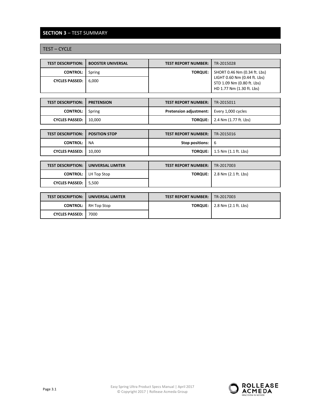## **SECTION 3** – TEST SUMMARY

TEST – CYCLE

| <b>TEST DESCRIPTION:</b> | <b>BOOSTER UNIVERSAL</b> | <b>TEST REPORT NUMBER:</b> | TR-2015028                                                                              |
|--------------------------|--------------------------|----------------------------|-----------------------------------------------------------------------------------------|
| <b>CONTROL:</b>          | Spring                   | <b>TORQUE:</b>             | SHORT 0.46 Nm (0.34 ft. Lbs)                                                            |
| <b>CYCLES PASSED:</b>    | 6.000                    |                            | LIGHT 0.60 Nm (0.44 ft. Lbs)<br>STD 1.09 Nm (0.80 ft. Lbs)<br>HD 1.77 Nm (1.30 ft. Lbs) |
|                          |                          |                            |                                                                                         |
| <b>TEST DESCRIPTION:</b> | <b>PRETENSION</b>        | <b>TEST REPORT NUMBER:</b> | TR-2015011                                                                              |

| TEST DESCRIPTION: T PRETENSION | <b>IESI REPORT NUMBER: I IR-2015011</b>            |                                            |
|--------------------------------|----------------------------------------------------|--------------------------------------------|
| <b>CONTROL:</b> Spring         | <b>Pretension adjustment:</b>   Every 1,000 cycles |                                            |
| CYCLES PASSED:   10,000        |                                                    | <b>TORQUE:</b>   $2.4$ Nm $(1.77$ ft. Lbs) |

| <b>TEST DESCRIPTION: 1 POSITION STOP</b> | <b>TEST REPORT NUMBER:   TR-2015016</b> |                                             |
|------------------------------------------|-----------------------------------------|---------------------------------------------|
| <b>CONTROL: I NA</b>                     | <b>Stop positions:</b> $\vert 6 \vert$  |                                             |
| CYCLES PASSED:   10,000                  |                                         | <b>TORQUE:</b> $\vert$ 1.5 Nm (1.1 ft. Lbs) |

| <b>TEST DESCRIPTION:</b> | UNIVERSAL LIMITER | <b>TEST REPORT NUMBER:</b> | TR-2017003           |
|--------------------------|-------------------|----------------------------|----------------------|
| <b>CONTROL:</b>          | LH Top Stop       | <b>TORQUE:</b>             | 2.8 Nm (2.1 ft. Lbs) |
| <b>CYCLES PASSED:</b>    | 5.500             |                            |                      |
|                          |                   |                            |                      |
| <b>TEST DESCRIPTION:</b> | UNIVERSAL LIMITER | <b>TEST REPORT NUMBER:</b> | TR-2017003           |
| <b>CONTROL:</b>          | RH Top Stop       | <b>TORQUE:</b>             | 2.8 Nm (2.1 ft. Lbs) |
| <b>CYCLES PASSED:</b>    | 7000              |                            |                      |

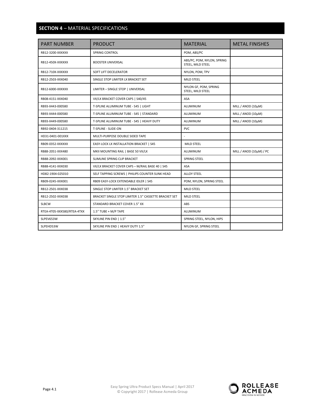## **SECTION 4** – MATERIAL SPECIFICATIONS

| <b>PART NUMBER</b>         | <b>PRODUCT</b>                                        | <b>MATERIAL</b>                                 | <b>METAL FINISHES</b>   |
|----------------------------|-------------------------------------------------------|-------------------------------------------------|-------------------------|
| RB12-3200-XXXXXX           | <b>SPRING CONTROL</b>                                 | POM, ABS/PC                                     |                         |
| RB12-450X-XXXXXX           | <b>BOOSTER UNIVERSAL</b>                              | ABS/PC, POM, NYLON, SPRING<br>STEEL, MILD STEEL |                         |
| RB12-710X-XXXXXX           | SOFT LIFT DECELERATOR                                 | NYLON, POM, TPV                                 |                         |
| RB12-2503-XXX040           | SINGLE STOP LIMITER LX BRACKET SET                    | <b>MILD STEEL</b>                               |                         |
| RB12-6000-XXXXXX           | LIMITER - SINGLE STOP   UNIVERSAL                     | NYLON GF, POM, SPRING<br>STEEL, MILD STEEL      |                         |
| RB08-4151-XXX040           | VX/LX BRACKET COVER CAPS   S40/45                     | <b>ASA</b>                                      |                         |
| RB93-X443-000580           | T-SPLINE ALUMINUM TUBE - S45   LIGHT                  | ALUMINUM                                        | MILL / ANOD (10µM)      |
| RB93-X444-000580           | T-SPLINE ALUMINUM TUBE - S45   STANDARD               | <b>ALUMINUM</b>                                 | MILL / ANOD (10µM)      |
| RB93-X449-000580           | T-SPLINE ALUMINUM TUBE - S45   HEAVY DUTY             | ALUMINUM                                        | MILL / ANOD (10µM)      |
| RB92-0404-311215           | T-SPLINE - SLIDE-ON                                   | <b>PVC</b>                                      |                         |
| HD31-0401-001XXX           | MULTI-PURPOSE DOUBLE SIDED TAPE                       |                                                 |                         |
| RB09-0352-XXXXXX           | EASY-LOCK LX INSTALLATION BRACKET   S45               | MILD STEEL                                      |                         |
| RB88-2051-XXX480           | MKII MOUNTING RAIL   BASE 50 VX/LX                    | ALUMINUM                                        | MILL / ANOD (10µM) / PC |
| RB88-2092-XXX001           | SLIMLINE SPRING CLIP BRACKET                          | SPRING STEEL                                    |                         |
| RB88-4141-XXX030           | VX/LX BRACKET COVER CAPS - M/RAIL BASE 40   S45       | <b>ASA</b>                                      |                         |
| HD82-1904-025010           | SELF TAPPING SCREWS   PHILIPS COUNTER SUNK HEAD       | <b>ALLOY STEEL</b>                              |                         |
| RB09-0245-XXX001           | RB09 EASY-LOCK EXTENDABLE IDLER   S45                 | POM, NYLON, SPRING STEEL                        |                         |
| RB12-2501-XXX038           | SINGLE STOP LIMITER 1.5" BRACKET SET                  | MILD STEEL                                      |                         |
| RB12-2502-XXX038           | BRACKET SINGLE STOP LIMITER 1.5" CASSETTE BRACKET SET | MILD STEEL                                      |                         |
| <b>SLBCW</b>               | STANDARD BRACKET COVER 1.5" XX                        | ABS                                             |                         |
| RTEA-4T05-XXX580/RTEA-4TXX | 1.5" TUBE + M/P TAPE                                  | ALUMINUM                                        |                         |
| SLPEV653W                  | SKYLINE PIN END   1.5"                                | SPRING STEEL, NYLON, HIPS                       |                         |
| SLPEHD53W                  | SKYLINE PIN END   HEAVY DUTY 1.5"                     | NYLON GF, SPRING STEEL                          |                         |

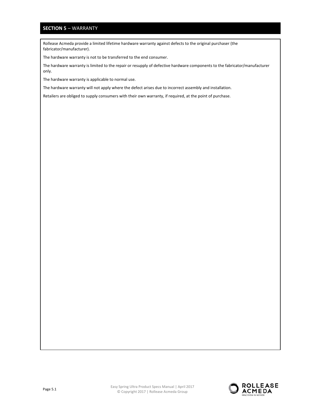## **SECTION 5** – WARRANTY

Rollease Acmeda provide a limited lifetime hardware warranty against defects to the original purchaser (the fabricator/manufacturer).

The hardware warranty is not to be transferred to the end consumer.

The hardware warranty is limited to the repair or resupply of defective hardware components to the fabricator/manufacturer only.

The hardware warranty is applicable to normal use.

The hardware warranty will not apply where the defect arises due to incorrect assembly and installation.

Retailers are obliged to supply consumers with their own warranty, if required, at the point of purchase.

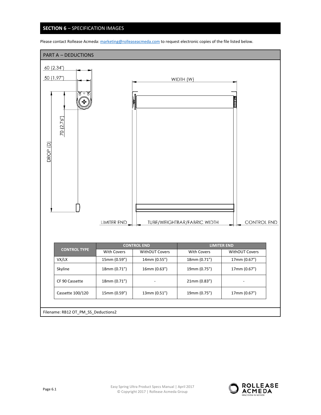## **SECTION 6** – SPECIFICATION IMAGES



Please contact Rollease Acmeda: marketing@rolleaseacmeda.com to request electronic copies of the file listed below.